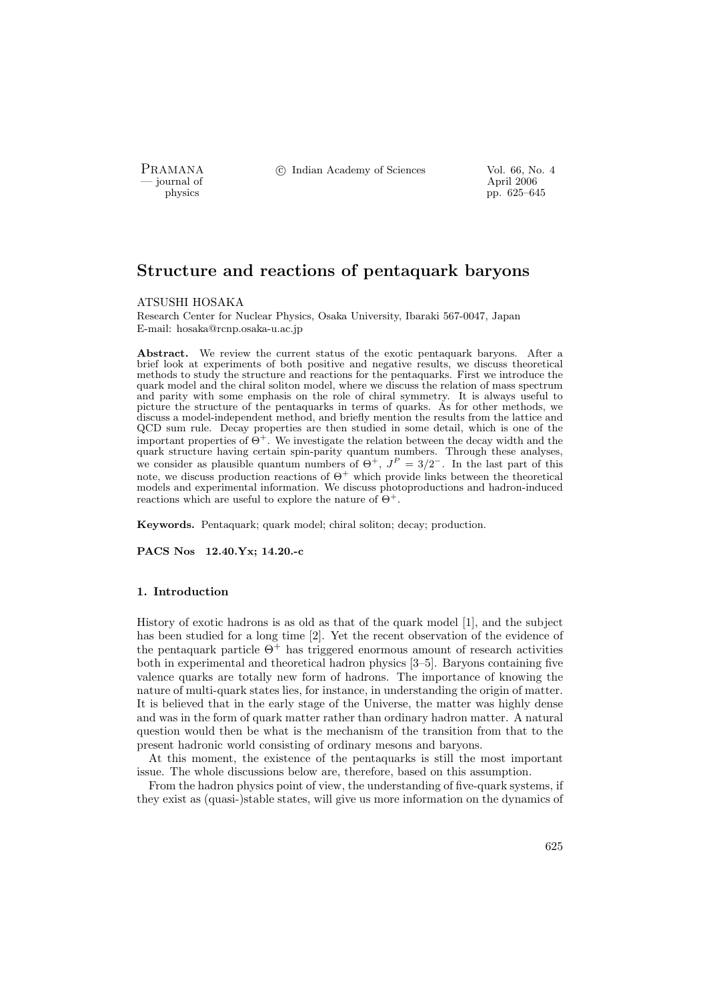— journal of April 2006

PRAMANA <sup>©</sup>© Indian Academy of Sciences Vol. 66, No. 4

physics pp. 625–645

# Structure and reactions of pentaquark baryons

#### ATSUSHI HOSAKA

Research Center for Nuclear Physics, Osaka University, Ibaraki 567-0047, Japan E-mail: hosaka@rcnp.osaka-u.ac.jp

Abstract. We review the current status of the exotic pentaquark baryons. After a brief look at experiments of both positive and negative results, we discuss theoretical methods to study the structure and reactions for the pentaquarks. First we introduce the quark model and the chiral soliton model, where we discuss the relation of mass spectrum and parity with some emphasis on the role of chiral symmetry. It is always useful to picture the structure of the pentaquarks in terms of quarks. As for other methods, we discuss a model-independent method, and briefly mention the results from the lattice and QCD sum rule. Decay properties are then studied in some detail, which is one of the important properties of  $\Theta^+$ . We investigate the relation between the decay width and the quark structure having certain spin-parity quantum numbers. Through these analyses, we consider as plausible quantum numbers of  $\Theta^+$ ,  $J^P = 3/2^-$ . In the last part of this note, we discuss production reactions of  $\Theta^+$  which provide links between the theoretical models and experimental information. We discuss photoproductions and hadron-induced reactions which are useful to explore the nature of  $\Theta^+$ .

Keywords. Pentaquark; quark model; chiral soliton; decay; production.

PACS Nos 12.40.Yx; 14.20.-c

### 1. Introduction

History of exotic hadrons is as old as that of the quark model [1], and the subject has been studied for a long time [2]. Yet the recent observation of the evidence of the pentaquark particle  $\Theta^+$  has triggered enormous amount of research activities both in experimental and theoretical hadron physics [3–5]. Baryons containing five valence quarks are totally new form of hadrons. The importance of knowing the nature of multi-quark states lies, for instance, in understanding the origin of matter. It is believed that in the early stage of the Universe, the matter was highly dense and was in the form of quark matter rather than ordinary hadron matter. A natural question would then be what is the mechanism of the transition from that to the present hadronic world consisting of ordinary mesons and baryons.

At this moment, the existence of the pentaquarks is still the most important issue. The whole discussions below are, therefore, based on this assumption.

From the hadron physics point of view, the understanding of five-quark systems, if they exist as (quasi-)stable states, will give us more information on the dynamics of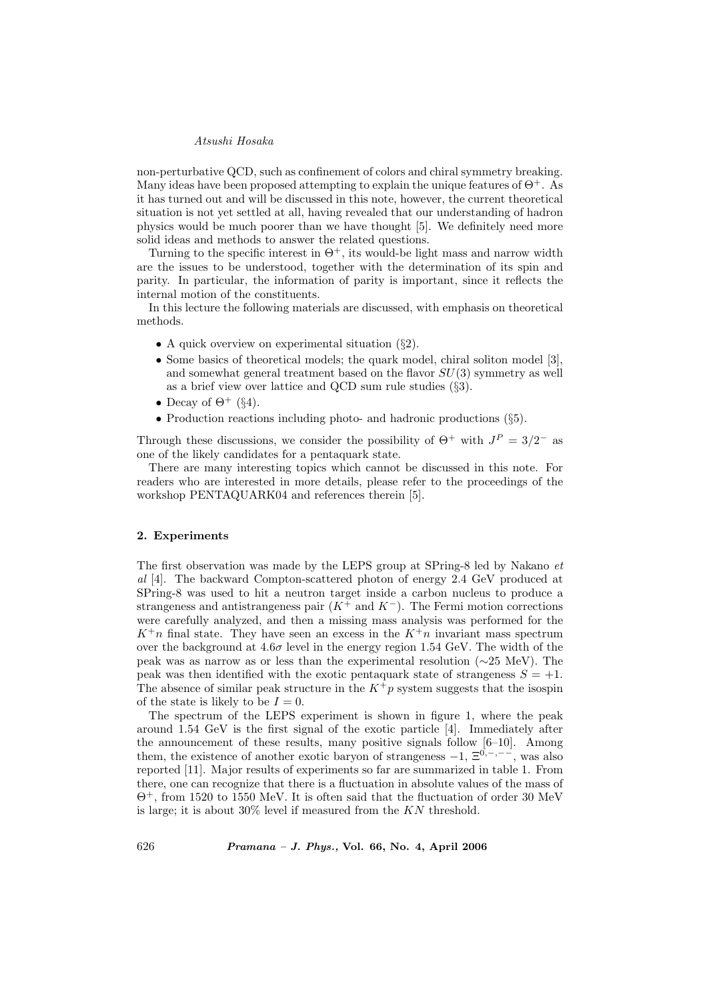non-perturbative QCD, such as confinement of colors and chiral symmetry breaking. Many ideas have been proposed attempting to explain the unique features of  $\Theta^+$ . As it has turned out and will be discussed in this note, however, the current theoretical situation is not yet settled at all, having revealed that our understanding of hadron physics would be much poorer than we have thought [5]. We definitely need more solid ideas and methods to answer the related questions.

Turning to the specific interest in  $\Theta^+$ , its would-be light mass and narrow width are the issues to be understood, together with the determination of its spin and parity. In particular, the information of parity is important, since it reflects the internal motion of the constituents.

In this lecture the following materials are discussed, with emphasis on theoretical methods.

- A quick overview on experimental situation (§2).
- Some basics of theoretical models; the quark model, chiral soliton model [3], and somewhat general treatment based on the flavor  $SU(3)$  symmetry as well as a brief view over lattice and QCD sum rule studies (§3).
- Decay of  $\Theta^+$  (§4).
- Production reactions including photo- and hadronic productions (§5).

Through these discussions, we consider the possibility of  $\Theta^+$  with  $J^P = 3/2^-$  as one of the likely candidates for a pentaquark state.

There are many interesting topics which cannot be discussed in this note. For readers who are interested in more details, please refer to the proceedings of the workshop PENTAQUARK04 and references therein [5].

### 2. Experiments

The first observation was made by the LEPS group at SPring-8 led by Nakano et al [4]. The backward Compton-scattered photon of energy 2.4 GeV produced at SPring-8 was used to hit a neutron target inside a carbon nucleus to produce a strangeness and antistrangeness pair  $(K^+$  and  $K^-)$ . The Fermi motion corrections were carefully analyzed, and then a missing mass analysis was performed for the  $K^+n$  final state. They have seen an excess in the  $K^+n$  invariant mass spectrum over the background at  $4.6\sigma$  level in the energy region 1.54 GeV. The width of the peak was as narrow as or less than the experimental resolution (∼25 MeV). The peak was then identified with the exotic pentaquark state of strangeness  $S = +1$ . The absence of similar peak structure in the  $K^+p$  system suggests that the isospin of the state is likely to be  $I = 0$ .

The spectrum of the LEPS experiment is shown in figure 1, where the peak around 1.54 GeV is the first signal of the exotic particle [4]. Immediately after the announcement of these results, many positive signals follow [6–10]. Among them, the existence of another exotic baryon of strangeness  $-1$ ,  $\Xi^{0,-,--}$ , was also reported [11]. Major results of experiments so far are summarized in table 1. From there, one can recognize that there is a fluctuation in absolute values of the mass of Θ<sup>+</sup>, from 1520 to 1550 MeV. It is often said that the fluctuation of order 30 MeV is large; it is about 30% level if measured from the KN threshold.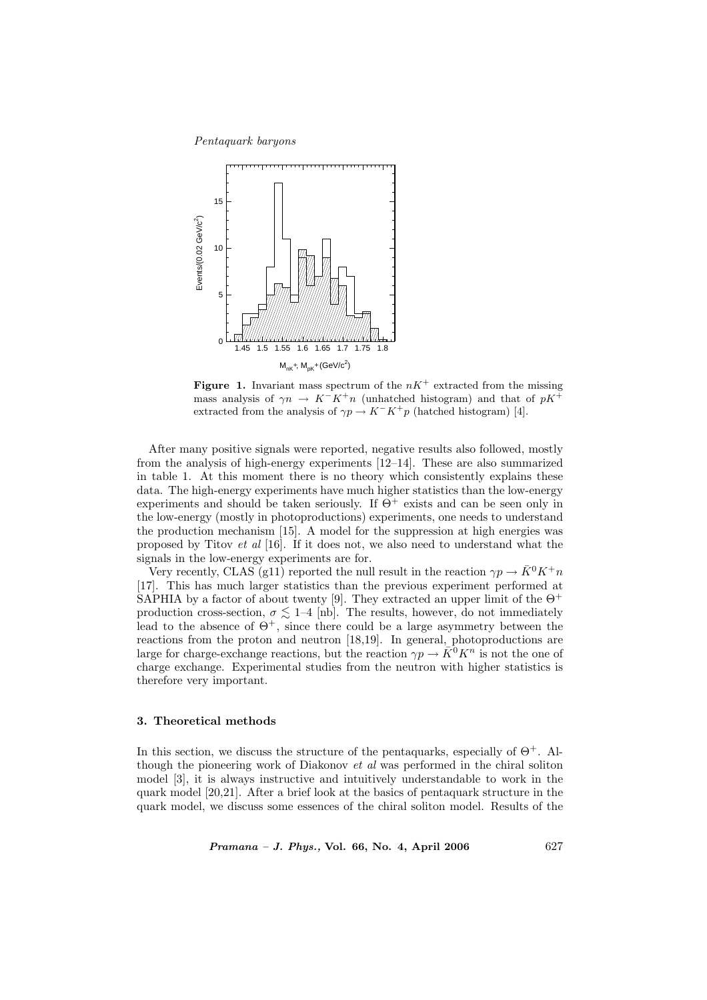Pentaquark baryons



**Figure 1.** Invariant mass spectrum of the  $nK^+$  extracted from the missing mass analysis of  $\gamma n \to K^-K^+n$  (unhatched histogram) and that of pK<sup>+</sup> extracted from the analysis of  $\gamma p \to K^-K^+p$  (hatched histogram) [4].

After many positive signals were reported, negative results also followed, mostly from the analysis of high-energy experiments [12–14]. These are also summarized in table 1. At this moment there is no theory which consistently explains these data. The high-energy experiments have much higher statistics than the low-energy experiments and should be taken seriously. If  $\Theta^+$  exists and can be seen only in the low-energy (mostly in photoproductions) experiments, one needs to understand the production mechanism [15]. A model for the suppression at high energies was proposed by Titov et al [16]. If it does not, we also need to understand what the signals in the low-energy experiments are for.

Very recently, CLAS (g11) reported the null result in the reaction  $\gamma p \to \bar{K}^0 K^+ n$ [17]. This has much larger statistics than the previous experiment performed at SAPHIA by a factor of about twenty [9]. They extracted an upper limit of the  $\Theta^+$ production cross-section,  $\sigma \lesssim 1-4$  [nb]. The results, however, do not immediately lead to the absence of  $\Theta^+$ , since there could be a large asymmetry between the reactions from the proton and neutron [18,19]. In general, photoproductions are large for charge-exchange reactions, but the reaction  $\gamma p \to \overline{K}^0 K^n$  is not the one of charge exchange. Experimental studies from the neutron with higher statistics is therefore very important.

# 3. Theoretical methods

In this section, we discuss the structure of the pentaquarks, especially of  $\Theta^+$ . Although the pioneering work of Diakonov et al was performed in the chiral soliton model [3], it is always instructive and intuitively understandable to work in the quark model [20,21]. After a brief look at the basics of pentaquark structure in the quark model, we discuss some essences of the chiral soliton model. Results of the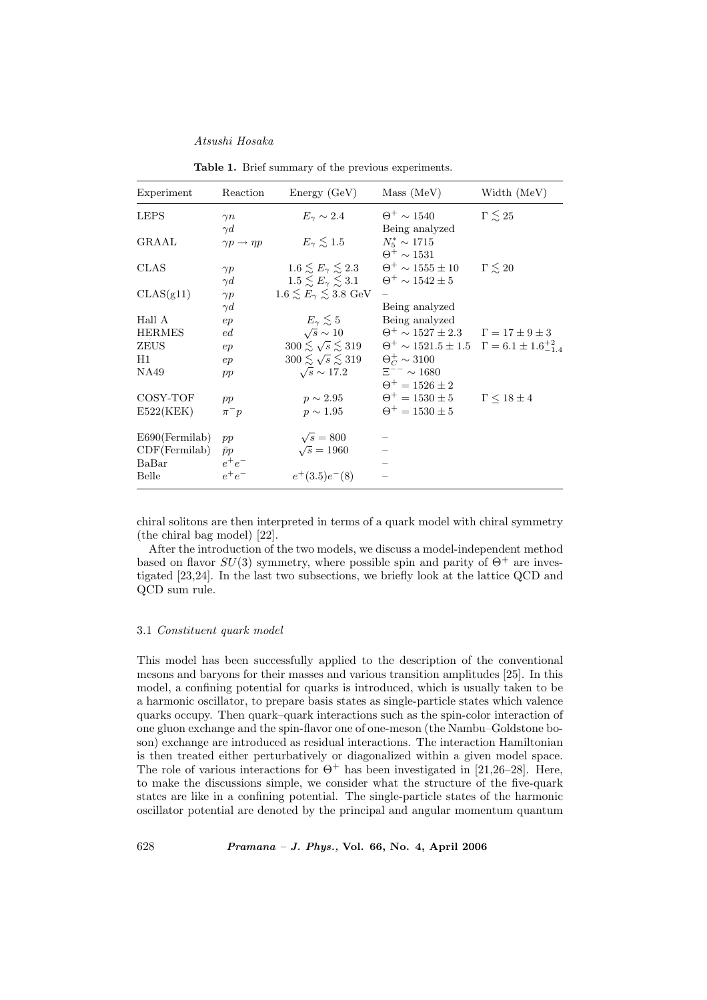| Experiment             | Reaction                                    | Energy(GeV)                                                         | Mass (MeV)                                                                                                                      | Width (MeV)            |
|------------------------|---------------------------------------------|---------------------------------------------------------------------|---------------------------------------------------------------------------------------------------------------------------------|------------------------|
| <b>LEPS</b>            | $\gamma n$                                  | $E_{\gamma} \sim 2.4$                                               | $\Theta^+ \sim 1540$                                                                                                            | $\Gamma \lesssim 25$   |
| GRAAL                  | $\gamma d$<br>$\gamma p \rightarrow \eta p$ | $E_{\gamma} \lesssim 1.5$                                           | Being analyzed<br>$N_5^* \sim 1715$<br>$\Theta^+ \sim 1531$                                                                     |                        |
| CLAS                   | $\gamma p$<br>$\gamma d$                    | $1.5 \lesssim E_{\gamma} \lesssim 3.1$ $\Theta^{+} \sim 1542 \pm 5$ | $1.6 \leq E_\gamma \leq 2.3$ $\Theta^+ \sim 1555 \pm 10$ $\Gamma \leq 20$                                                       |                        |
| CLAS(g11)              | $\gamma p$                                  | $1.6 \lesssim E_{\gamma} \lesssim 3.8~\text{GeV}$                   |                                                                                                                                 |                        |
| Hall A                 | $\gamma d$<br>ep                            | $E_{\gamma} \leq 5$                                                 | Being analyzed<br>Being analyzed                                                                                                |                        |
| <b>HERMES</b><br>ZEUS  | ed<br>ep                                    | $\sqrt{s} \sim 10$<br>$300 \lesssim \sqrt{s} \lesssim 319$          | $\Theta^+ \sim 1527 \pm 2.3$ $\Gamma = 17 \pm 9 \pm 3$<br>$\Theta^+ \sim 1521.5 \pm 1.5 \quad \Gamma = 6.1 \pm 1.6^{+2}_{-1.4}$ |                        |
| H1<br>NA49             | ep<br>pp                                    | $300 \lesssim \sqrt{s} \lesssim 319$<br>$\sqrt{s} \sim 17.2$        | $\Theta_C^+ \sim 3100$<br>$\Xi^{--} \sim 1680$                                                                                  |                        |
| COSY-TOF               |                                             | $p \sim 2.95$                                                       | $\Theta^+ = 1526 \pm 2$<br>$\Theta^+ = 1530 \pm 5$                                                                              | $\Gamma \leq 18 \pm 4$ |
| E522(KEK)              | pp<br>$\pi^- p$                             | $p \sim 1.95$                                                       | $\Theta^+ = 1530 \pm 5$                                                                                                         |                        |
| $E690$ (Fermilab)      | pp                                          | $\sqrt{s} = 800$                                                    |                                                                                                                                 |                        |
| CDF(Fermilab)<br>BaBar | $\bar{p}p$<br>$e^+e^-$                      | $\sqrt{s} = 1960$                                                   |                                                                                                                                 |                        |
| Belle                  | $e^+e^-$                                    | $e^+(3.5)e^-(8)$                                                    |                                                                                                                                 |                        |

Table 1. Brief summary of the previous experiments.

chiral solitons are then interpreted in terms of a quark model with chiral symmetry (the chiral bag model) [22].

After the introduction of the two models, we discuss a model-independent method based on flavor  $SU(3)$  symmetry, where possible spin and parity of  $\Theta^+$  are investigated [23,24]. In the last two subsections, we briefly look at the lattice QCD and QCD sum rule.

# 3.1 Constituent quark model

This model has been successfully applied to the description of the conventional mesons and baryons for their masses and various transition amplitudes [25]. In this model, a confining potential for quarks is introduced, which is usually taken to be a harmonic oscillator, to prepare basis states as single-particle states which valence quarks occupy. Then quark–quark interactions such as the spin-color interaction of one gluon exchange and the spin-flavor one of one-meson (the Nambu–Goldstone boson) exchange are introduced as residual interactions. The interaction Hamiltonian is then treated either perturbatively or diagonalized within a given model space. The role of various interactions for  $\Theta^+$  has been investigated in [21,26–28]. Here, to make the discussions simple, we consider what the structure of the five-quark states are like in a confining potential. The single-particle states of the harmonic oscillator potential are denoted by the principal and angular momentum quantum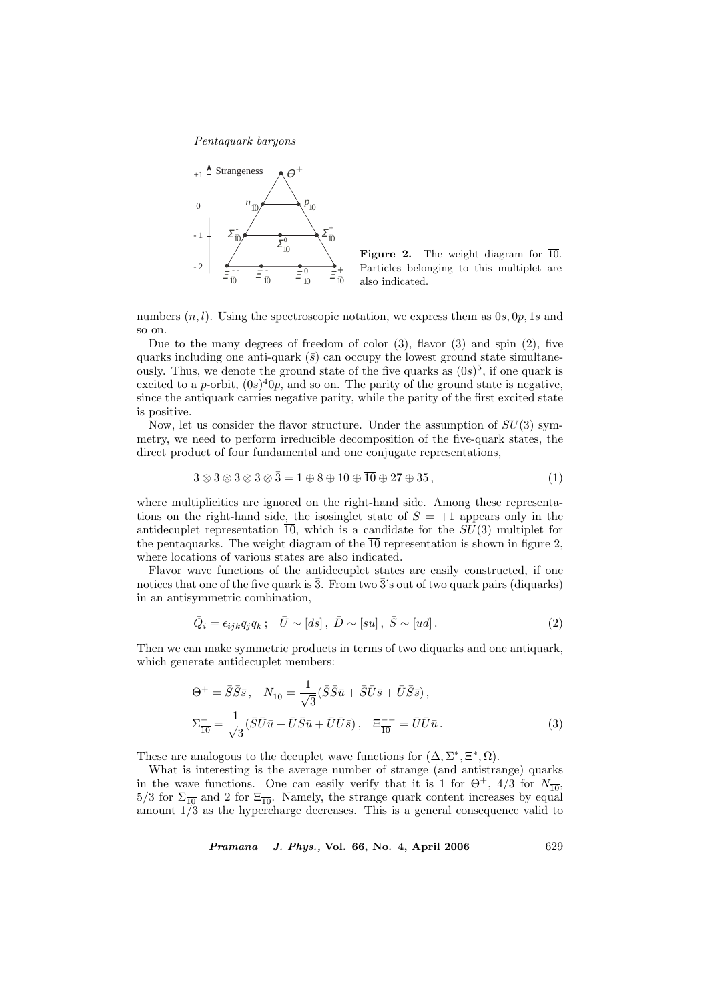

Figure 2. The weight diagram for  $\overline{10}$ . Particles belonging to this multiplet are also indicated.

numbers  $(n, l)$ . Using the spectroscopic notation, we express them as  $0s, 0p, 1s$  and so on.

Due to the many degrees of freedom of color  $(3)$ , flavor  $(3)$  and spin  $(2)$ , five quarks including one anti-quark  $(\bar{s})$  can occupy the lowest ground state simultaneously. Thus, we denote the ground state of the five quarks as  $(0s)^5$ , if one quark is excited to a p-orbit,  $(0s)^40p$ , and so on. The parity of the ground state is negative, since the antiquark carries negative parity, while the parity of the first excited state is positive.

Now, let us consider the flavor structure. Under the assumption of  $SU(3)$  symmetry, we need to perform irreducible decomposition of the five-quark states, the direct product of four fundamental and one conjugate representations,

$$
3 \otimes 3 \otimes 3 \otimes 3 \otimes \overline{3} = 1 \oplus 8 \oplus 10 \oplus \overline{10} \oplus 27 \oplus 35, \tag{1}
$$

where multiplicities are ignored on the right-hand side. Among these representations on the right-hand side, the isosinglet state of  $S = +1$  appears only in the antidecuplet representation  $\overline{10}$ , which is a candidate for the  $SU(3)$  multiplet for the pentaquarks. The weight diagram of the  $\overline{10}$  representation is shown in figure 2, where locations of various states are also indicated.

Flavor wave functions of the antidecuplet states are easily constructed, if one notices that one of the five quark is  $\overline{3}$ . From two  $\overline{3}$ 's out of two quark pairs (diquarks) in an antisymmetric combination,

$$
\bar{Q}_i = \epsilon_{ijk} q_j q_k \, ; \quad \bar{U} \sim [ds] \, , \quad \bar{D} \sim [su] \, , \quad \bar{S} \sim [ud] \, . \tag{2}
$$

Then we can make symmetric products in terms of two diquarks and one antiquark, which generate antidecuplet members:

$$
\Theta^{+} = \bar{S}\bar{S}\bar{s}, \quad N_{\overline{10}} = \frac{1}{\sqrt{3}} (\bar{S}\bar{S}\bar{u} + \bar{S}\bar{U}\bar{s} + \bar{U}\bar{S}\bar{s}),
$$
  

$$
\Sigma_{\overline{10}}^{-} = \frac{1}{\sqrt{3}} (\bar{S}\bar{U}\bar{u} + \bar{U}\bar{S}\bar{u} + \bar{U}\bar{U}\bar{s}), \quad \Xi_{\overline{10}}^{-} = \bar{U}\bar{U}\bar{u}.
$$
 (3)

These are analogous to the decuplet wave functions for  $(\Delta, \Sigma^*, \Xi^*, \Omega)$ .

What is interesting is the average number of strange (and antistrange) quarks in the wave functions. One can easily verify that it is 1 for  $\Theta^+$ , 4/3 for  $N_{\overline{10}}$ ,  $5/3$  for  $\Sigma_{\overline{10}}$  and 2 for  $\Xi_{\overline{10}}$ . Namely, the strange quark content increases by equal amount 1/3 as the hypercharge decreases. This is a general consequence valid to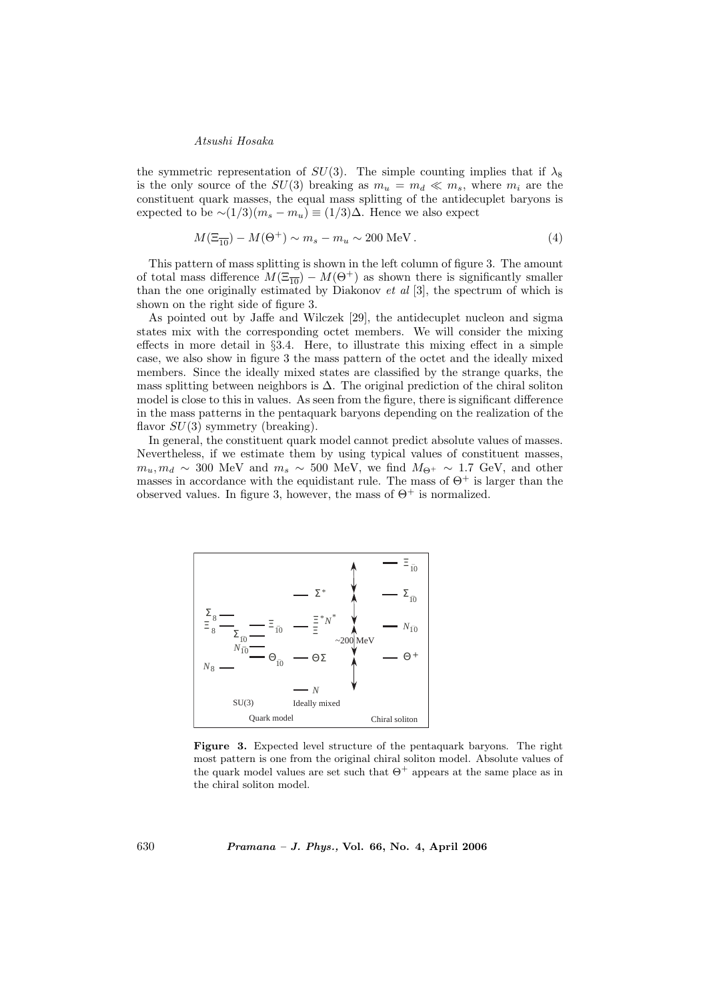the symmetric representation of  $SU(3)$ . The simple counting implies that if  $\lambda_8$ is the only source of the  $SU(3)$  breaking as  $m_u = m_d \ll m_s$ , where  $m_i$  are the constituent quark masses, the equal mass splitting of the antidecuplet baryons is expected to be  $\sim (1/3)(m_s - m_u) \equiv (1/3)\Delta$ . Hence we also expect

$$
M(\Xi_{\overline{10}}) - M(\Theta^+) \sim m_s - m_u \sim 200 \text{ MeV}.
$$
 (4)

This pattern of mass splitting is shown in the left column of figure 3. The amount of total mass difference  $M(\Xi_{\overline{10}}) - M(\Theta^+)$  as shown there is significantly smaller than the one originally estimated by Diakonov et al [3], the spectrum of which is shown on the right side of figure 3.

As pointed out by Jaffe and Wilczek [29], the antidecuplet nucleon and sigma states mix with the corresponding octet members. We will consider the mixing effects in more detail in  $\S 3.4$ . Here, to illustrate this mixing effect in a simple case, we also show in figure 3 the mass pattern of the octet and the ideally mixed members. Since the ideally mixed states are classified by the strange quarks, the mass splitting between neighbors is  $\Delta$ . The original prediction of the chiral soliton model is close to this in values. As seen from the figure, there is significant difference in the mass patterns in the pentaquark baryons depending on the realization of the flavor  $SU(3)$  symmetry (breaking).

In general, the constituent quark model cannot predict absolute values of masses. Nevertheless, if we estimate them by using typical values of constituent masses,  $m_u, m_d \sim 300$  MeV and  $m_s \sim 500$  MeV, we find  $M_{\Theta^+} \sim 1.7$  GeV, and other masses in accordance with the equidistant rule. The mass of  $\Theta^+$  is larger than the observed values. In figure 3, however, the mass of  $\Theta^+$  is normalized.



Figure 3. Expected level structure of the pentaquark baryons. The right most pattern is one from the original chiral soliton model. Absolute values of the quark model values are set such that  $\Theta^+$  appears at the same place as in the chiral soliton model.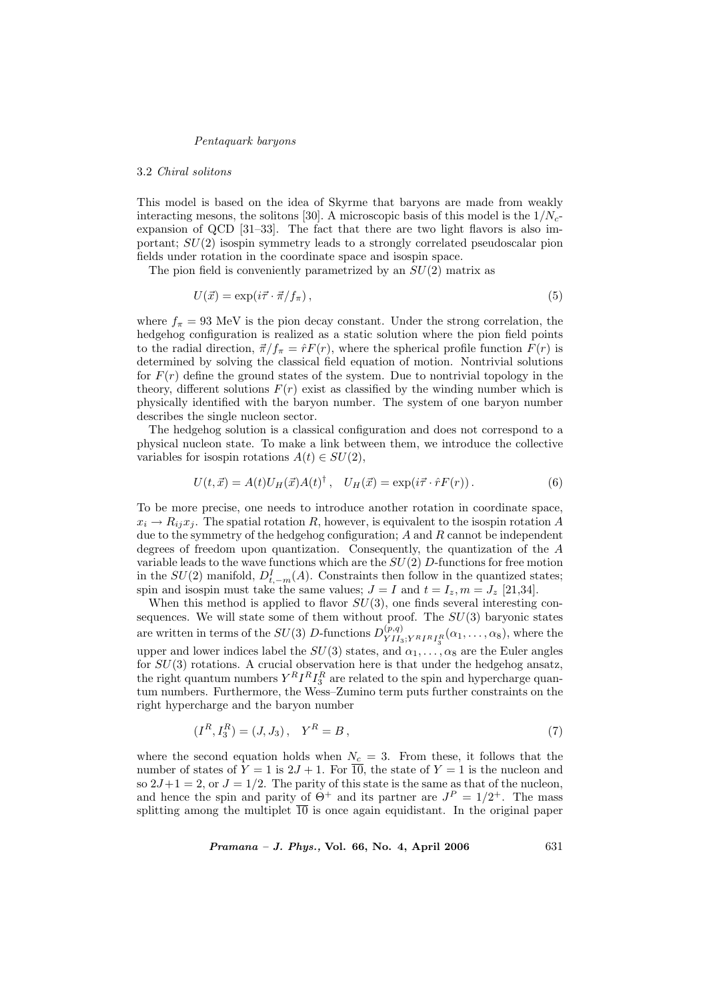#### 3.2 Chiral solitons

This model is based on the idea of Skyrme that baryons are made from weakly interacting mesons, the solitons [30]. A microscopic basis of this model is the  $1/N_c$ expansion of QCD [31–33]. The fact that there are two light flavors is also important;  $SU(2)$  isospin symmetry leads to a strongly correlated pseudoscalar pion fields under rotation in the coordinate space and isospin space.

The pion field is conveniently parametrized by an  $SU(2)$  matrix as

$$
U(\vec{x}) = \exp(i\vec{\tau} \cdot \vec{\pi}/f_{\pi}), \qquad (5)
$$

where  $f_{\pi} = 93$  MeV is the pion decay constant. Under the strong correlation, the hedgehog configuration is realized as a static solution where the pion field points to the radial direction,  $\vec{\pi}/f_{\pi} = \hat{r}F(r)$ , where the spherical profile function  $F(r)$  is determined by solving the classical field equation of motion. Nontrivial solutions for  $F(r)$  define the ground states of the system. Due to nontrivial topology in the theory, different solutions  $F(r)$  exist as classified by the winding number which is physically identified with the baryon number. The system of one baryon number describes the single nucleon sector.

The hedgehog solution is a classical configuration and does not correspond to a physical nucleon state. To make a link between them, we introduce the collective variables for isospin rotations  $A(t) \in SU(2)$ ,

$$
U(t, \vec{x}) = A(t)U_H(\vec{x})A(t)^{\dagger}, \quad U_H(\vec{x}) = \exp(i\vec{\tau} \cdot \hat{r}F(r)). \tag{6}
$$

To be more precise, one needs to introduce another rotation in coordinate space,  $x_i \rightarrow R_{ij}x_j$ . The spatial rotation R, however, is equivalent to the isospin rotation A due to the symmetry of the hedgehog configuration;  $A$  and  $R$  cannot be independent degrees of freedom upon quantization. Consequently, the quantization of the A variable leads to the wave functions which are the  $SU(2)$  D-functions for free motion in the  $SU(2)$  manifold,  $D_{t,-m}^I(A)$ . Constraints then follow in the quantized states; spin and isospin must take the same values;  $J = I$  and  $t = I_z, m = J_z$  [21,34].

When this method is applied to flavor  $SU(3)$ , one finds several interesting consequences. We will state some of them without proof. The  $SU(3)$  baryonic states are written in terms of the  $SU(3)$  D-functions  $D_{VII}^{(p,q)}$  $\chi_{II_3;Y^R I^R I_3^R}(\alpha_1,\ldots,\alpha_8)$ , where the upper and lower indices label the  $SU(3)$  states, and  $\alpha_1, \ldots, \alpha_8$  are the Euler angles for  $SU(3)$  rotations. A crucial observation here is that under the hedgehog ansatz, the right quantum numbers  $Y^R I^R I_3^R$  are related to the spin and hypercharge quantum numbers. Furthermore, the Wess–Zumino term puts further constraints on the right hypercharge and the baryon number

$$
(I^R, I_3^R) = (J, J_3), \quad Y^R = B,
$$
\n<sup>(7)</sup>

where the second equation holds when  $N_c = 3$ . From these, it follows that the number of states of  $Y = 1$  is  $2J + 1$ . For  $\overline{10}$ , the state of  $Y = 1$  is the nucleon and so  $2J+1=2$ , or  $J=1/2$ . The parity of this state is the same as that of the nucleon, and hence the spin and parity of  $\Theta^+$  and its partner are  $J^P = 1/2^+$ . The mass splitting among the multiplet  $\overline{10}$  is once again equidistant. In the original paper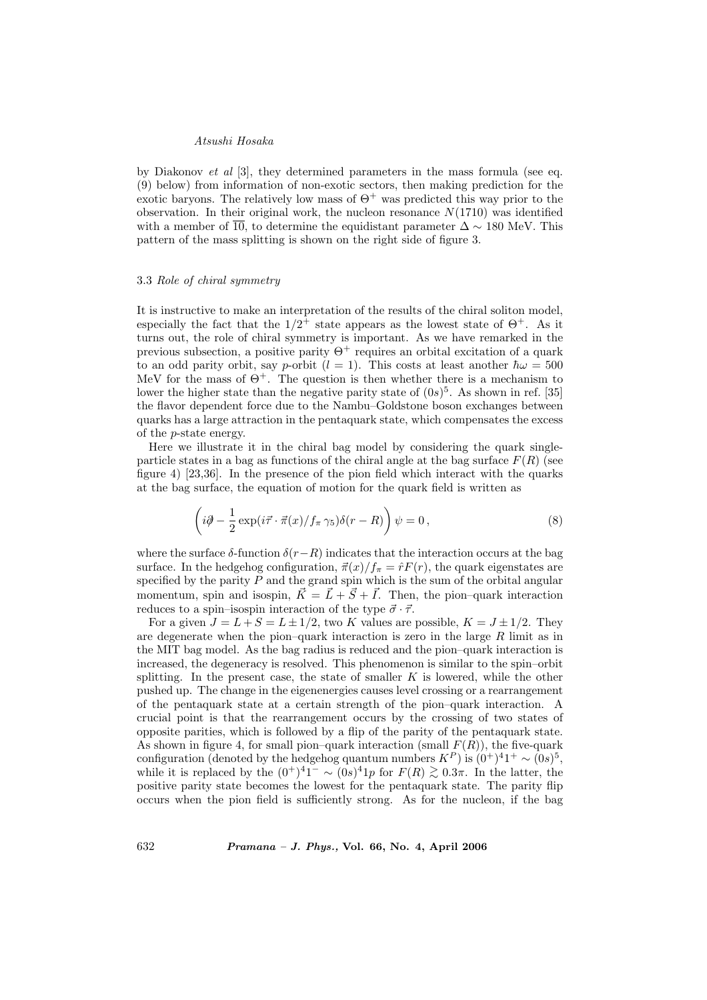by Diakonov *et al* [3], they determined parameters in the mass formula (see eq. (9) below) from information of non-exotic sectors, then making prediction for the exotic baryons. The relatively low mass of  $\Theta^+$  was predicted this way prior to the observation. In their original work, the nucleon resonance  $N(1710)$  was identified with a member of  $\overline{10}$ , to determine the equidistant parameter  $\Delta \sim 180$  MeV. This pattern of the mass splitting is shown on the right side of figure 3.

### 3.3 Role of chiral symmetry

It is instructive to make an interpretation of the results of the chiral soliton model, especially the fact that the  $1/2^+$  state appears as the lowest state of  $\Theta^+$ . As it turns out, the role of chiral symmetry is important. As we have remarked in the previous subsection, a positive parity  $\Theta^+$  requires an orbital excitation of a quark to an odd parity orbit, say p-orbit  $(l = 1)$ . This costs at least another  $\hbar \omega = 500$ MeV for the mass of  $\Theta^+$ . The question is then whether there is a mechanism to lower the higher state than the negative parity state of  $(0s)^5$ . As shown in ref. [35] the flavor dependent force due to the Nambu–Goldstone boson exchanges between quarks has a large attraction in the pentaquark state, which compensates the excess of the p-state energy.

Here we illustrate it in the chiral bag model by considering the quark singleparticle states in a bag as functions of the chiral angle at the bag surface  $F(R)$  (see figure 4) [23,36]. In the presence of the pion field which interact with the quarks at the bag surface, the equation of motion for the quark field is written as

$$
\left(i\partial - \frac{1}{2}\exp(i\vec{\tau}\cdot\vec{\pi}(x)/f_{\pi}\gamma_5)\delta(r-R)\right)\psi = 0, \qquad (8)
$$

where the surface  $\delta$ -function  $\delta(r-R)$  indicates that the interaction occurs at the bag surface. In the hedgehog configuration,  $\vec{\pi}(x)/f_{\pi} = \hat{r}F(r)$ , the quark eigenstates are specified by the parity  $P$  and the grand spin which is the sum of the orbital angular momentum, spin and isospin,  $\vec{K} = \vec{L} + \vec{S} + \vec{I}$ . Then, the pion–quark interaction reduces to a spin–isospin interaction of the type  $\vec{\sigma} \cdot \vec{\tau}$ .

For a given  $J = L + S = L \pm 1/2$ , two K values are possible,  $K = J \pm 1/2$ . They are degenerate when the pion–quark interaction is zero in the large  $R$  limit as in the MIT bag model. As the bag radius is reduced and the pion–quark interaction is increased, the degeneracy is resolved. This phenomenon is similar to the spin–orbit splitting. In the present case, the state of smaller  $K$  is lowered, while the other pushed up. The change in the eigenenergies causes level crossing or a rearrangement of the pentaquark state at a certain strength of the pion–quark interaction. A crucial point is that the rearrangement occurs by the crossing of two states of opposite parities, which is followed by a flip of the parity of the pentaquark state. As shown in figure 4, for small pion–quark interaction (small  $F(R)$ ), the five-quark configuration (denoted by the hedgehog quantum numbers  $K^P$ ) is  $(0^+)^4 1^+ \sim (0s)^5$ , while it is replaced by the  $(0^+)^41^- \sim (0s)^41p$  for  $F(R) \gtrsim 0.3\pi$ . In the latter, the positive parity state becomes the lowest for the pentaquark state. The parity flip occurs when the pion field is sufficiently strong. As for the nucleon, if the bag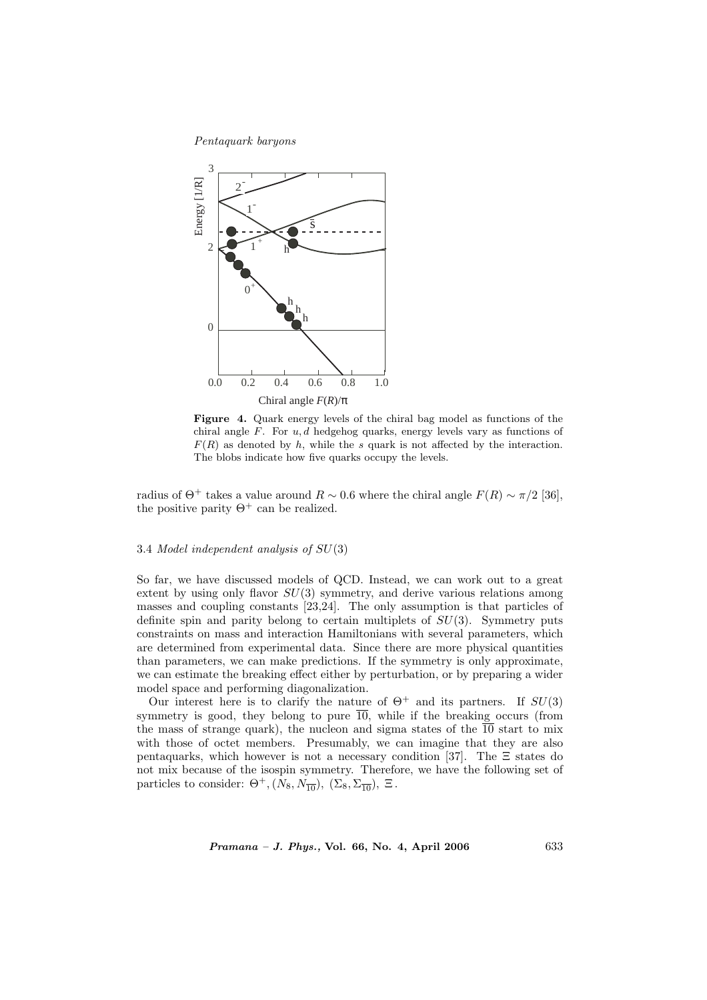

Figure 4. Quark energy levels of the chiral bag model as functions of the chiral angle  $F$ . For  $u, d$  hedgehog quarks, energy levels vary as functions of  $F(R)$  as denoted by h, while the s quark is not affected by the interaction. The blobs indicate how five quarks occupy the levels.

radius of  $\Theta^+$  takes a value around  $R \sim 0.6$  where the chiral angle  $F(R) \sim \pi/2$  [36], the positive parity  $\Theta^+$  can be realized.

### 3.4 Model independent analysis of SU(3)

So far, we have discussed models of QCD. Instead, we can work out to a great extent by using only flavor  $SU(3)$  symmetry, and derive various relations among masses and coupling constants [23,24]. The only assumption is that particles of definite spin and parity belong to certain multiplets of  $SU(3)$ . Symmetry puts constraints on mass and interaction Hamiltonians with several parameters, which are determined from experimental data. Since there are more physical quantities than parameters, we can make predictions. If the symmetry is only approximate, we can estimate the breaking effect either by perturbation, or by preparing a wider model space and performing diagonalization.

Our interest here is to clarify the nature of  $\Theta^+$  and its partners. If  $SU(3)$ symmetry is good, they belong to pure  $\overline{10}$ , while if the breaking occurs (from the mass of strange quark), the nucleon and sigma states of the  $\overline{10}$  start to mix with those of octet members. Presumably, we can imagine that they are also pentaquarks, which however is not a necessary condition [37]. The  $\Xi$  states do not mix because of the isospin symmetry. Therefore, we have the following set of particles to consider:  $\Theta^+, (N_8, N_{\overline{10}}), (\Sigma_8, \Sigma_{\overline{10}}), \Xi$ .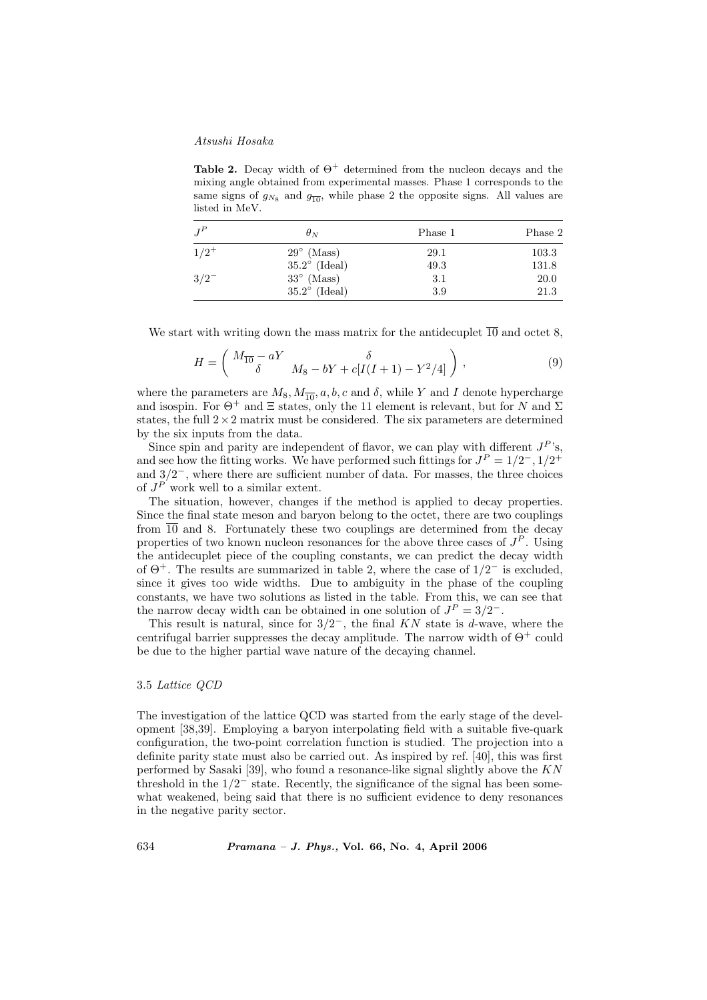Table 2. Decay width of  $\Theta^+$  determined from the nucleon decays and the mixing angle obtained from experimental masses. Phase 1 corresponds to the same signs of  $g_{N_8}$  and  $g_{\overline{10}}$ , while phase 2 the opposite signs. All values are listed in MeV.

| $J^P$     | $\theta_N$             | Phase 1 | Phase 2 |
|-----------|------------------------|---------|---------|
| $1/2^+$   | $29^{\circ}$ (Mass)    | 29.1    | 103.3   |
|           | $35.2^{\circ}$ (Ideal) | 49.3    | 131.8   |
| $3/2^{-}$ | $33^\circ$ (Mass)      | 3.1     | 20.0    |
|           | $35.2^{\circ}$ (Ideal) | 3.9     | 21.3    |

We start with writing down the mass matrix for the antidecuplet  $\overline{10}$  and octet 8,

$$
H = \begin{pmatrix} M_{\overline{10}} - aY & \delta \\ \delta & M_8 - bY + c[I(I+1) - Y^2/4] \end{pmatrix},
$$
 (9)

where the parameters are  $M_8$ ,  $M_{\overline{10}}$ ,  $a, b, c$  and  $\delta$ , while Y and I denote hypercharge and isospin. For  $\Theta^+$  and  $\Xi$  states, only the 11 element is relevant, but for N and  $\Sigma$ states, the full  $2\times 2$  matrix must be considered. The six parameters are determined by the six inputs from the data.

Since spin and parity are independent of flavor, we can play with different  $J^P$ 's, and see how the fitting works. We have performed such fittings for  $J<sup>P</sup> = 1/2^-$ ,  $1/2^+$ and  $3/2^-$ , where there are sufficient number of data. For masses, the three choices of  $J^P$  work well to a similar extent.

The situation, however, changes if the method is applied to decay properties. Since the final state meson and baryon belong to the octet, there are two couplings from  $\overline{10}$  and 8. Fortunately these two couplings are determined from the decay properties of two known nucleon resonances for the above three cases of  $J<sup>P</sup>$ . Using the antidecuplet piece of the coupling constants, we can predict the decay width of  $\Theta^+$ . The results are summarized in table 2, where the case of  $1/2^-$  is excluded, since it gives too wide widths. Due to ambiguity in the phase of the coupling constants, we have two solutions as listed in the table. From this, we can see that the narrow decay width can be obtained in one solution of  $J<sup>P</sup> = 3/2^-$ .

This result is natural, since for  $3/2^-$ , the final KN state is d-wave, where the centrifugal barrier suppresses the decay amplitude. The narrow width of  $\Theta^+$  could be due to the higher partial wave nature of the decaying channel.

### 3.5 Lattice QCD

The investigation of the lattice QCD was started from the early stage of the development [38,39]. Employing a baryon interpolating field with a suitable five-quark configuration, the two-point correlation function is studied. The projection into a definite parity state must also be carried out. As inspired by ref. [40], this was first performed by Sasaki [39], who found a resonance-like signal slightly above the  $KN$ threshold in the  $1/2^-$  state. Recently, the significance of the signal has been somewhat weakened, being said that there is no sufficient evidence to deny resonances in the negative parity sector.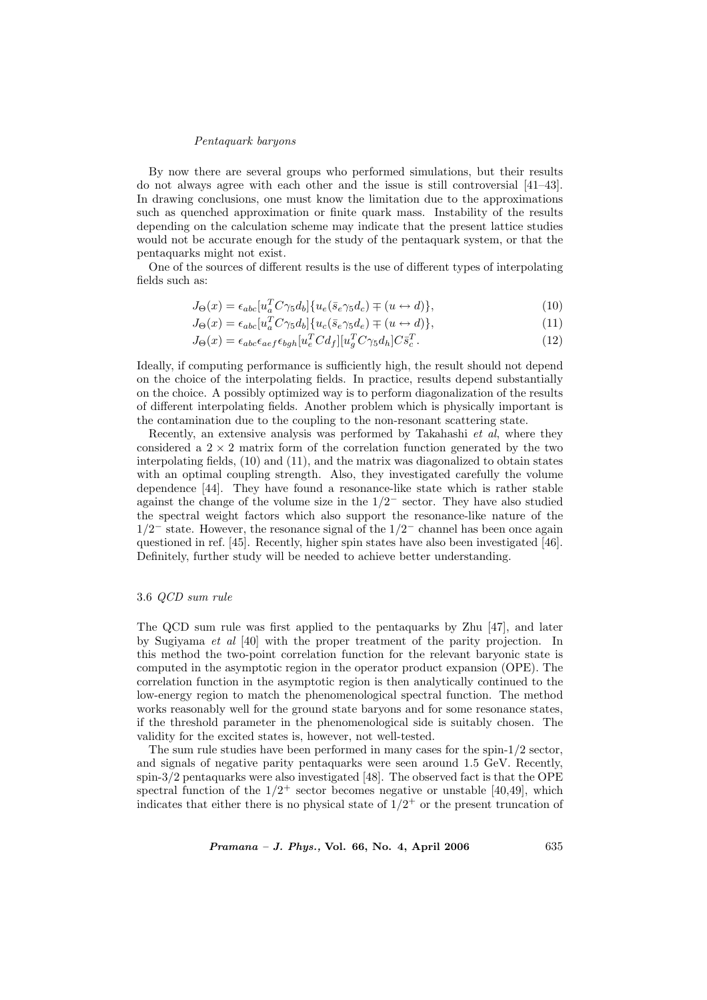By now there are several groups who performed simulations, but their results do not always agree with each other and the issue is still controversial [41–43]. In drawing conclusions, one must know the limitation due to the approximations such as quenched approximation or finite quark mass. Instability of the results depending on the calculation scheme may indicate that the present lattice studies would not be accurate enough for the study of the pentaquark system, or that the pentaquarks might not exist.

One of the sources of different results is the use of different types of interpolating fields such as:

$$
J_{\Theta}(x) = \epsilon_{abc} [u_a^T C \gamma_5 d_b] \{ u_e (\bar{s}_e \gamma_5 d_c) \mp (u \leftrightarrow d) \},\tag{10}
$$

$$
J_{\Theta}(x) = \epsilon_{abc} [u_a^T C \gamma_5 d_b] \{ u_c (\bar{s}_e \gamma_5 d_e) \mp (u \leftrightarrow d) \},\tag{11}
$$
  

$$
J_{\Theta}(x) = \epsilon_{abc} \epsilon_{abc} [u_a^T C d_c] [u_a^T C \gamma_5 d_c] C \bar{a}^T
$$

$$
J_{\Theta}(x) = \epsilon_{abc}\epsilon_{aef}\epsilon_{bgh}[u_e^T C d_f][u_g^T C \gamma_5 d_h] C \bar{s}_c^T.
$$
\n(12)

Ideally, if computing performance is sufficiently high, the result should not depend on the choice of the interpolating fields. In practice, results depend substantially on the choice. A possibly optimized way is to perform diagonalization of the results of different interpolating fields. Another problem which is physically important is the contamination due to the coupling to the non-resonant scattering state.

Recently, an extensive analysis was performed by Takahashi et al, where they considered a  $2 \times 2$  matrix form of the correlation function generated by the two interpolating fields, (10) and (11), and the matrix was diagonalized to obtain states with an optimal coupling strength. Also, they investigated carefully the volume dependence [44]. They have found a resonance-like state which is rather stable against the change of the volume size in the  $1/2^-$  sector. They have also studied the spectral weight factors which also support the resonance-like nature of the  $1/2^-$  state. However, the resonance signal of the  $1/2^-$  channel has been once again questioned in ref. [45]. Recently, higher spin states have also been investigated [46]. Definitely, further study will be needed to achieve better understanding.

### 3.6 QCD sum rule

The QCD sum rule was first applied to the pentaquarks by Zhu [47], and later by Sugiyama et al [40] with the proper treatment of the parity projection. In this method the two-point correlation function for the relevant baryonic state is computed in the asymptotic region in the operator product expansion (OPE). The correlation function in the asymptotic region is then analytically continued to the low-energy region to match the phenomenological spectral function. The method works reasonably well for the ground state baryons and for some resonance states, if the threshold parameter in the phenomenological side is suitably chosen. The validity for the excited states is, however, not well-tested.

The sum rule studies have been performed in many cases for the spin-1/2 sector, and signals of negative parity pentaquarks were seen around 1.5 GeV. Recently, spin-3/2 pentaquarks were also investigated [48]. The observed fact is that the OPE spectral function of the  $1/2^+$  sector becomes negative or unstable [40,49], which indicates that either there is no physical state of  $1/2^+$  or the present truncation of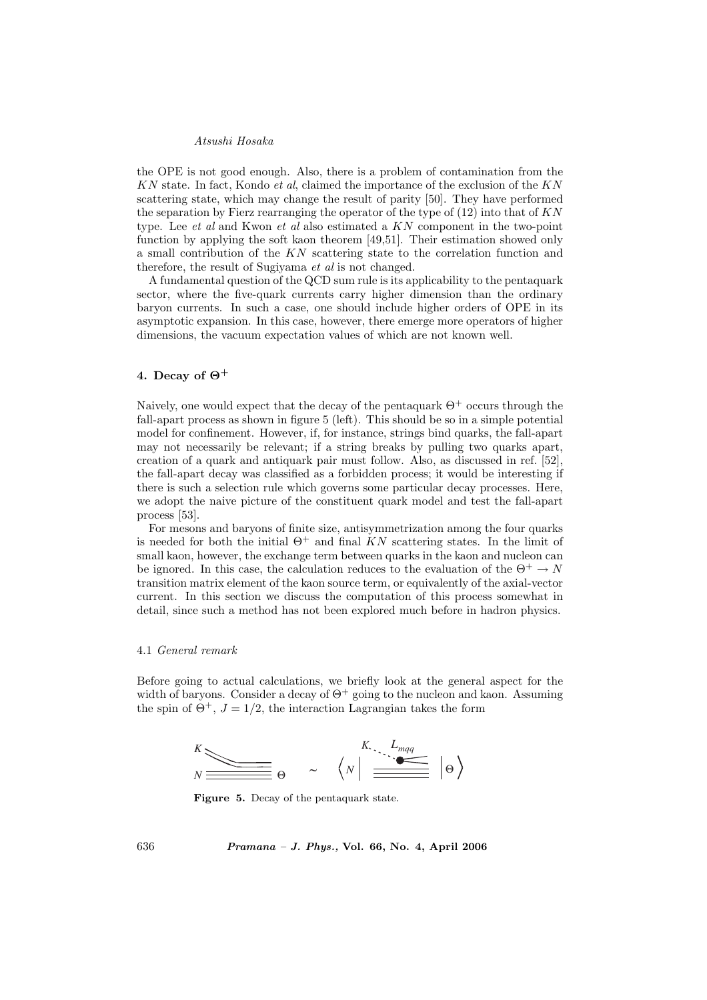the OPE is not good enough. Also, there is a problem of contamination from the  $KN$  state. In fact, Kondo *et al*, claimed the importance of the exclusion of the  $KN$ scattering state, which may change the result of parity [50]. They have performed the separation by Fierz rearranging the operator of the type of  $(12)$  into that of KN type. Lee et al and Kwon et al also estimated a KN component in the two-point function by applying the soft kaon theorem [49,51]. Their estimation showed only a small contribution of the KN scattering state to the correlation function and therefore, the result of Sugiyama et al is not changed.

A fundamental question of the QCD sum rule is its applicability to the pentaquark sector, where the five-quark currents carry higher dimension than the ordinary baryon currents. In such a case, one should include higher orders of OPE in its asymptotic expansion. In this case, however, there emerge more operators of higher dimensions, the vacuum expectation values of which are not known well.

# 4. Decay of  $\Theta^+$

Naively, one would expect that the decay of the pentaquark  $\Theta^+$  occurs through the fall-apart process as shown in figure 5 (left). This should be so in a simple potential model for confinement. However, if, for instance, strings bind quarks, the fall-apart may not necessarily be relevant; if a string breaks by pulling two quarks apart, creation of a quark and antiquark pair must follow. Also, as discussed in ref. [52], the fall-apart decay was classified as a forbidden process; it would be interesting if there is such a selection rule which governs some particular decay processes. Here, we adopt the naive picture of the constituent quark model and test the fall-apart process [53].

For mesons and baryons of finite size, antisymmetrization among the four quarks is needed for both the initial  $\Theta^+$  and final KN scattering states. In the limit of small kaon, however, the exchange term between quarks in the kaon and nucleon can be ignored. In this case, the calculation reduces to the evaluation of the  $\Theta^+ \to N$ transition matrix element of the kaon source term, or equivalently of the axial-vector current. In this section we discuss the computation of this process somewhat in detail, since such a method has not been explored much before in hadron physics.

### 4.1 General remark

Before going to actual calculations, we briefly look at the general aspect for the width of baryons. Consider a decay of  $\Theta^+$  going to the nucleon and kaon. Assuming the spin of  $\Theta^+$ ,  $J = 1/2$ , the interaction Lagrangian takes the form



Figure 5. Decay of the pentaquark state.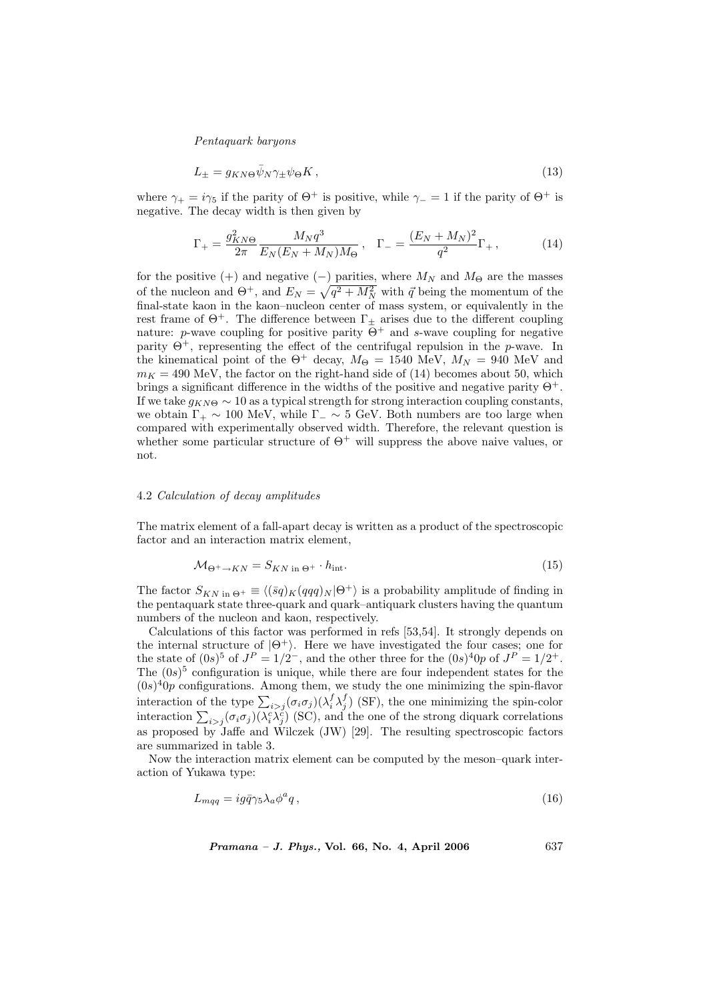$$
L_{\pm} = g_{KN\Theta} \bar{\psi}_N \gamma_{\pm} \psi_{\Theta} K , \qquad (13)
$$

where  $\gamma_+ = i\gamma_5$  if the parity of  $\Theta^+$  is positive, while  $\gamma_- = 1$  if the parity of  $\Theta^+$  is negative. The decay width is then given by

$$
\Gamma_{+} = \frac{g_{KN\Theta}^2}{2\pi} \frac{M_N q^3}{E_N (E_N + M_N) M_{\Theta}}, \quad \Gamma_{-} = \frac{(E_N + M_N)^2}{q^2} \Gamma_{+}, \tag{14}
$$

for the positive (+) and negative  $(-)$  parities, where  $M_N$  and  $M_{\Theta}$  are the masses of the nucleon and  $\Theta^+$ , and  $E_N = \sqrt{q^2 + M_N^2}$  with  $\vec{q}$  being the momentum of the final-state kaon in the kaon–nucleon center of mass system, or equivalently in the rest frame of  $\Theta^+$ . The difference between  $\Gamma_{\pm}$  arises due to the different coupling nature: p-wave coupling for positive parity  $\Theta^+$  and s-wave coupling for negative parity  $\Theta^+$ , representing the effect of the centrifugal repulsion in the p-wave. In the kinematical point of the  $\Theta^+$  decay,  $M_{\Theta} = 1540 \text{ MeV}$ ,  $M_N = 940 \text{ MeV}$  and  $m_K = 490$  MeV, the factor on the right-hand side of (14) becomes about 50, which brings a significant difference in the widths of the positive and negative parity  $\Theta^+$ . If we take  $g_{KN\Theta} \sim 10$  as a typical strength for strong interaction coupling constants, we obtain  $\Gamma_+ \sim 100$  MeV, while  $\Gamma_- \sim 5$  GeV. Both numbers are too large when compared with experimentally observed width. Therefore, the relevant question is whether some particular structure of  $\Theta^+$  will suppress the above naive values, or not.

#### 4.2 Calculation of decay amplitudes

The matrix element of a fall-apart decay is written as a product of the spectroscopic factor and an interaction matrix element,

$$
\mathcal{M}_{\Theta^+ \to KN} = S_{KN \text{ in } \Theta^+} \cdot h_{\text{int}}.\tag{15}
$$

The factor  $S_{KN \text{ in } \Theta^+} \equiv \langle (\bar{s}q)_K(qqq)_N | \Theta^+ \rangle$  is a probability amplitude of finding in the pentaquark state three-quark and quark–antiquark clusters having the quantum numbers of the nucleon and kaon, respectively.

Calculations of this factor was performed in refs [53,54]. It strongly depends on the internal structure of  $|\Theta^+\rangle$ . Here we have investigated the four cases; one for the state of  $(0s)^5$  of  $J^P = 1/2^-$ , and the other three for the  $(0s)^40p$  of  $J^P = 1/2^+$ . The  $(0s)^5$  configuration is unique, while there are four independent states for the  $(0s)<sup>4</sup>0p$  configurations. Among them, we study the one minimizing the spin-flavor (os) op comigurations. Among them, we study the one minimizing the spin-navor<br>interaction of the type  $\sum_{i>j} (\sigma_i \sigma_j) (\lambda_i^f \lambda_j^f)$  (SF), the one minimizing the spin-color interaction of the type  $\sum_{i>j} (\sigma_i \sigma_j) (\lambda_i^c \lambda_j^c)$  (SC), and the one of the strong diquark correlations as proposed by Jaffe and Wilczek (JW) [29]. The resulting spectroscopic factors are summarized in table 3.

Now the interaction matrix element can be computed by the meson–quark interaction of Yukawa type:

$$
L_{mqq} = ig\bar{q}\gamma_5 \lambda_a \phi^a q \,,\tag{16}
$$

Pramana – J. Phys., Vol. 66, No. 4, April 2006 637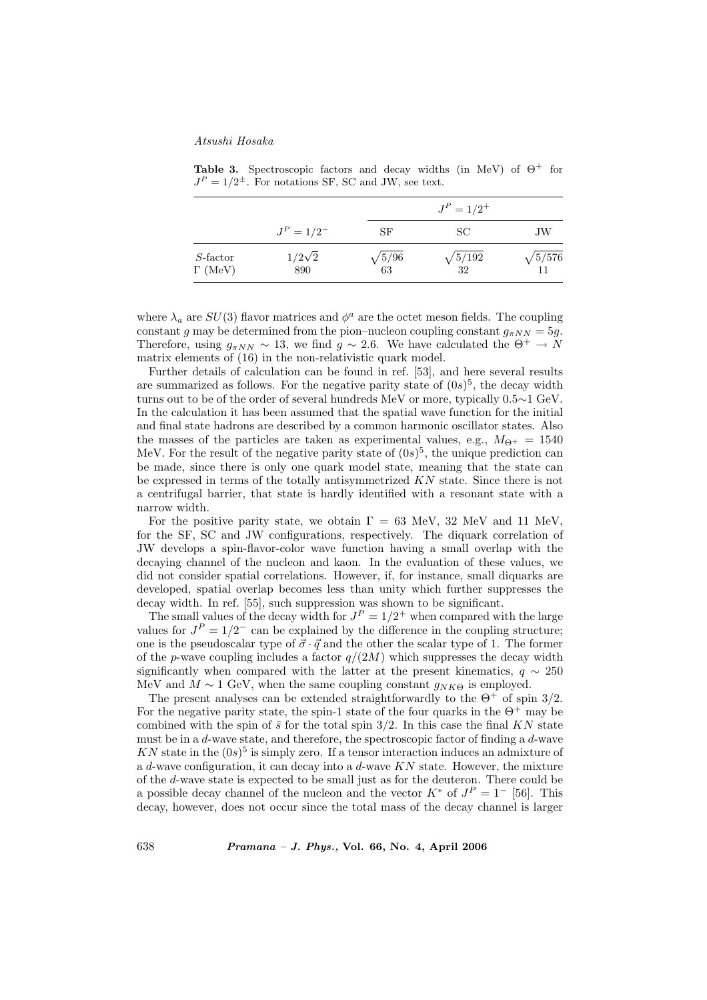Table 3. Spectroscopic factors and decay widths (in MeV) of  $\Theta^+$  for  $J<sup>P</sup> = 1/2<sup>\pm</sup>$ . For notations SF, SC and JW, see text.

|                                     |                      |                     | $J^P = 1/2^+$        |                      |  |
|-------------------------------------|----------------------|---------------------|----------------------|----------------------|--|
|                                     | $J^P = 1/2^-$        | SF                  | SC.                  | JW                   |  |
| $S\text{-factor}$<br>$\Gamma$ (MeV) | $1/2\sqrt{2}$<br>890 | $\sqrt{5/96}$<br>63 | $\sqrt{5/192}$<br>32 | $\sqrt{5/576}$<br>11 |  |

where  $\lambda_a$  are  $SU(3)$  flavor matrices and  $\phi^a$  are the octet meson fields. The coupling constant g may be determined from the pion–nucleon coupling constant  $g_{\pi NN} = 5g$ . Therefore, using  $g_{\pi NN} \sim 13$ , we find  $g \sim 2.6$ . We have calculated the  $\Theta^+ \to N$ matrix elements of (16) in the non-relativistic quark model.

Further details of calculation can be found in ref. [53], and here several results are summarized as follows. For the negative parity state of  $(0s)^5$ , the decay width turns out to be of the order of several hundreds MeV or more, typically 0.5∼1 GeV. In the calculation it has been assumed that the spatial wave function for the initial and final state hadrons are described by a common harmonic oscillator states. Also the masses of the particles are taken as experimental values, e.g.,  $M_{\Theta^+} = 1540$ MeV. For the result of the negative parity state of  $(0s)^5$ , the unique prediction can be made, since there is only one quark model state, meaning that the state can be expressed in terms of the totally antisymmetrized KN state. Since there is not a centrifugal barrier, that state is hardly identified with a resonant state with a narrow width.

For the positive parity state, we obtain  $\Gamma = 63$  MeV, 32 MeV and 11 MeV, for the SF, SC and JW configurations, respectively. The diquark correlation of JW develops a spin-flavor-color wave function having a small overlap with the decaying channel of the nucleon and kaon. In the evaluation of these values, we did not consider spatial correlations. However, if, for instance, small diquarks are developed, spatial overlap becomes less than unity which further suppresses the decay width. In ref. [55], such suppression was shown to be significant.

The small values of the decay width for  $J^P = 1/2^+$  when compared with the large values for  $J<sup>P</sup> = 1/2^-$  can be explained by the difference in the coupling structure; one is the pseudoscalar type of  $\vec{\sigma} \cdot \vec{q}$  and the other the scalar type of 1. The former of the p-wave coupling includes a factor  $q/(2M)$  which suppresses the decay width significantly when compared with the latter at the present kinematics,  $q \sim 250$ MeV and  $M \sim 1$  GeV, when the same coupling constant  $g_{NK\Theta}$  is employed.

The present analyses can be extended straightforwardly to the  $\Theta^+$  of spin 3/2. For the negative parity state, the spin-1 state of the four quarks in the  $\Theta^+$  may be combined with the spin of  $\bar{s}$  for the total spin 3/2. In this case the final KN state must be in a  $d$ -wave state, and therefore, the spectroscopic factor of finding a  $d$ -wave KN state in the  $(0s)^5$  is simply zero. If a tensor interaction induces an admixture of a d-wave configuration, it can decay into a d-wave  $KN$  state. However, the mixture of the d-wave state is expected to be small just as for the deuteron. There could be a possible decay channel of the nucleon and the vector  $K^*$  of  $J^P = 1^-$  [56]. This decay, however, does not occur since the total mass of the decay channel is larger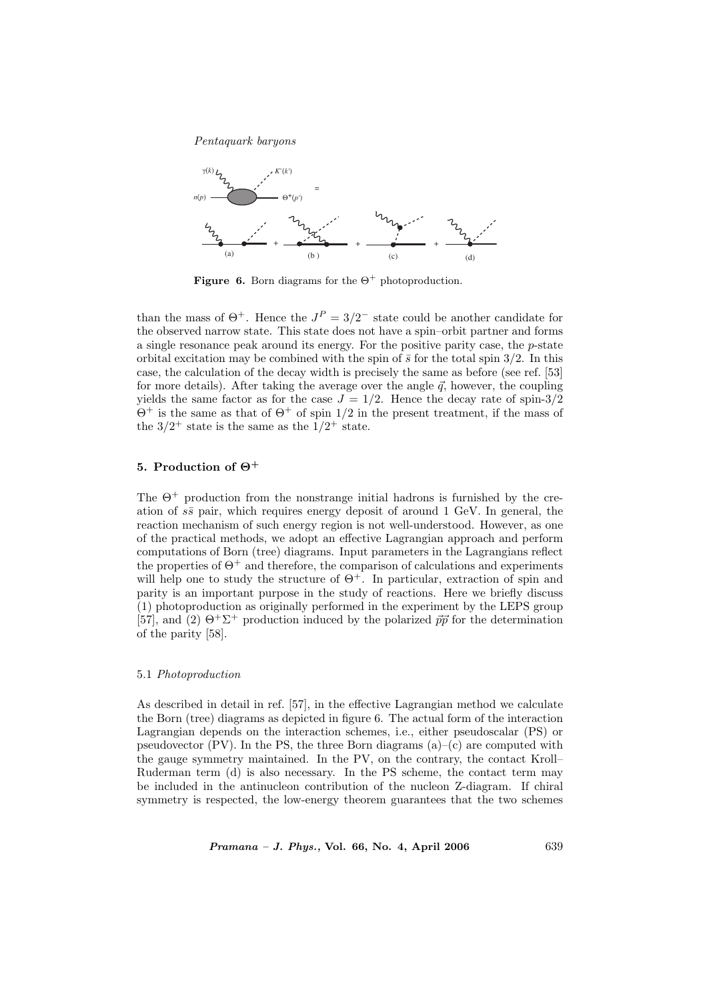

**Figure 6.** Born diagrams for the  $\Theta^+$  photoproduction.

than the mass of  $\Theta^+$ . Hence the  $J^P = 3/2^-$  state could be another candidate for the observed narrow state. This state does not have a spin–orbit partner and forms a single resonance peak around its energy. For the positive parity case, the p-state orbital excitation may be combined with the spin of  $\bar{s}$  for the total spin 3/2. In this case, the calculation of the decay width is precisely the same as before (see ref. [53] for more details). After taking the average over the angle  $\vec{q}$ , however, the coupling yields the same factor as for the case  $J = 1/2$ . Hence the decay rate of spin-3/2  $\Theta^+$  is the same as that of  $\Theta^+$  of spin 1/2 in the present treatment, if the mass of the  $3/2^+$  state is the same as the  $1/2^+$  state.

# 5. Production of  $\Theta^+$

The  $\Theta^+$  production from the nonstrange initial hadrons is furnished by the creation of  $s\bar{s}$  pair, which requires energy deposit of around 1 GeV. In general, the reaction mechanism of such energy region is not well-understood. However, as one of the practical methods, we adopt an effective Lagrangian approach and perform computations of Born (tree) diagrams. Input parameters in the Lagrangians reflect the properties of  $\Theta^+$  and therefore, the comparison of calculations and experiments will help one to study the structure of  $\Theta^+$ . In particular, extraction of spin and parity is an important purpose in the study of reactions. Here we briefly discuss (1) photoproduction as originally performed in the experiment by the LEPS group [57], and (2)  $\Theta^+ \Sigma^+$  production induced by the polarized  $\vec{p}\vec{p}$  for the determination of the parity [58].

### 5.1 Photoproduction

As described in detail in ref. [57], in the effective Lagrangian method we calculate the Born (tree) diagrams as depicted in figure 6. The actual form of the interaction Lagrangian depends on the interaction schemes, i.e., either pseudoscalar (PS) or pseudovector  $(PV)$ . In the PS, the three Born diagrams  $(a)$ – $(c)$  are computed with the gauge symmetry maintained. In the PV, on the contrary, the contact Kroll– Ruderman term (d) is also necessary. In the PS scheme, the contact term may be included in the antinucleon contribution of the nucleon Z-diagram. If chiral symmetry is respected, the low-energy theorem guarantees that the two schemes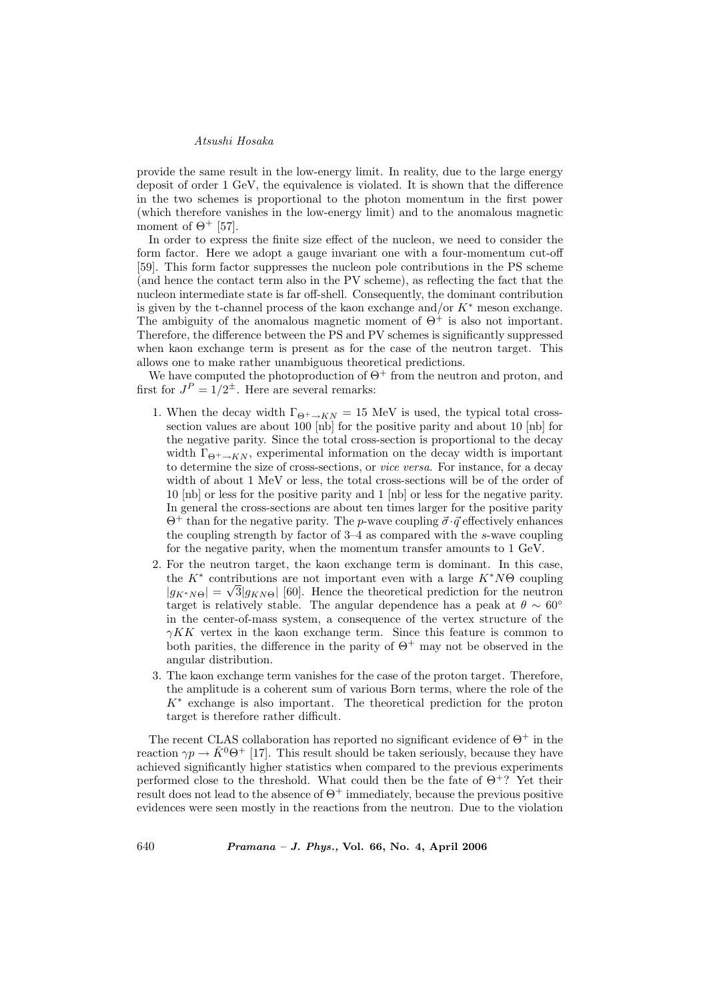provide the same result in the low-energy limit. In reality, due to the large energy deposit of order 1 GeV, the equivalence is violated. It is shown that the difference in the two schemes is proportional to the photon momentum in the first power (which therefore vanishes in the low-energy limit) and to the anomalous magnetic moment of  $\Theta^+$  [57].

In order to express the finite size effect of the nucleon, we need to consider the form factor. Here we adopt a gauge invariant one with a four-momentum cut-off [59]. This form factor suppresses the nucleon pole contributions in the PS scheme (and hence the contact term also in the PV scheme), as reflecting the fact that the nucleon intermediate state is far off-shell. Consequently, the dominant contribution is given by the t-channel process of the kaon exchange and/or  $K^*$  meson exchange. The ambiguity of the anomalous magnetic moment of  $\Theta^+$  is also not important. Therefore, the difference between the PS and PV schemes is significantly suppressed when kaon exchange term is present as for the case of the neutron target. This allows one to make rather unambiguous theoretical predictions.

We have computed the photoproduction of  $\Theta^+$  from the neutron and proton, and first for  $J^P = 1/2^{\pm}$ . Here are several remarks:

- 1. When the decay width  $\Gamma_{\Theta^+\to KN} = 15$  MeV is used, the typical total crosssection values are about 100 [nb] for the positive parity and about 10 [nb] for the negative parity. Since the total cross-section is proportional to the decay width  $\Gamma_{\Theta^+\to KN}$ , experimental information on the decay width is important to determine the size of cross-sections, or vice versa. For instance, for a decay width of about 1 MeV or less, the total cross-sections will be of the order of 10 [nb] or less for the positive parity and 1 [nb] or less for the negative parity. In general the cross-sections are about ten times larger for the positive parity  $\Theta^+$  than for the negative parity. The *p*-wave coupling  $\vec{\sigma} \cdot \vec{q}$  effectively enhances the coupling strength by factor of 3–4 as compared with the s-wave coupling for the negative parity, when the momentum transfer amounts to 1 GeV.
- 2. For the neutron target, the kaon exchange term is dominant. In this case, the  $K^*$  contributions are not important even with a large  $K^*N\Theta$  coupling  $|g_{K^*N\Theta}| = \sqrt{3|g_{KN\Theta}|}$  [60]. Hence the theoretical prediction for the neutron target is relatively stable. The angular dependence has a peak at  $\theta \sim 60^{\circ}$ in the center-of-mass system, a consequence of the vertex structure of the  $\gamma K K$  vertex in the kaon exchange term. Since this feature is common to both parities, the difference in the parity of  $\Theta^+$  may not be observed in the angular distribution.
- 3. The kaon exchange term vanishes for the case of the proton target. Therefore, the amplitude is a coherent sum of various Born terms, where the role of the  $K^*$  exchange is also important. The theoretical prediction for the proton target is therefore rather difficult.

The recent CLAS collaboration has reported no significant evidence of  $\Theta^+$  in the reaction  $\gamma p \to \bar{K}^0 \Theta^+$  [17]. This result should be taken seriously, because they have achieved significantly higher statistics when compared to the previous experiments performed close to the threshold. What could then be the fate of  $\Theta^+$ ? Yet their result does not lead to the absence of  $\Theta^+$  immediately, because the previous positive evidences were seen mostly in the reactions from the neutron. Due to the violation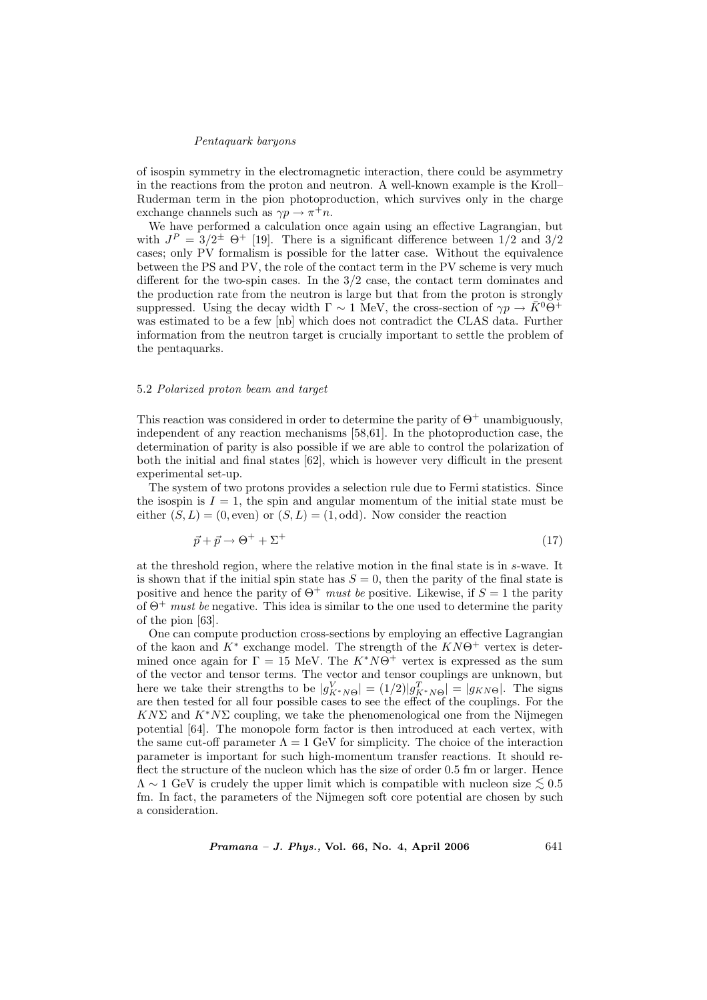of isospin symmetry in the electromagnetic interaction, there could be asymmetry in the reactions from the proton and neutron. A well-known example is the Kroll– Ruderman term in the pion photoproduction, which survives only in the charge exchange channels such as  $\gamma p \to \pi^+ n$ .

We have performed a calculation once again using an effective Lagrangian, but with  $J^P = 3/2^{\pm}$   $\Theta^+$  [19]. There is a significant difference between  $1/2$  and  $3/2$ cases; only PV formalism is possible for the latter case. Without the equivalence between the PS and PV, the role of the contact term in the PV scheme is very much different for the two-spin cases. In the 3/2 case, the contact term dominates and the production rate from the neutron is large but that from the proton is strongly suppressed. Using the decay width  $\Gamma \sim 1$  MeV, the cross-section of  $\gamma p \to \bar{K}^0 \Theta^+$ was estimated to be a few [nb] which does not contradict the CLAS data. Further information from the neutron target is crucially important to settle the problem of the pentaquarks.

#### 5.2 Polarized proton beam and target

This reaction was considered in order to determine the parity of  $\Theta^+$  unambiguously, independent of any reaction mechanisms [58,61]. In the photoproduction case, the determination of parity is also possible if we are able to control the polarization of both the initial and final states [62], which is however very difficult in the present experimental set-up.

The system of two protons provides a selection rule due to Fermi statistics. Since the isospin is  $I = 1$ , the spin and angular momentum of the initial state must be either  $(S, L) = (0, \text{even})$  or  $(S, L) = (1, \text{odd})$ . Now consider the reaction

$$
\vec{p} + \vec{p} \to \Theta^+ + \Sigma^+ \tag{17}
$$

at the threshold region, where the relative motion in the final state is in s-wave. It is shown that if the initial spin state has  $S = 0$ , then the parity of the final state is positive and hence the parity of  $\Theta^+$  must be positive. Likewise, if  $S = 1$  the parity of  $\Theta^+$  must be negative. This idea is similar to the one used to determine the parity of the pion [63].

One can compute production cross-sections by employing an effective Lagrangian of the kaon and  $K^*$  exchange model. The strength of the  $KN\Theta^+$  vertex is determined once again for  $\Gamma = 15$  MeV. The  $K^*N\Theta^+$  vertex is expressed as the sum of the vector and tensor terms. The vector and tensor couplings are unknown, but here we take their strengths to be  $|g_{K^*N\Theta}^V| = (1/2)|g_{K^*N\Theta}^T| = |g_{KN\Theta}|$ . The signs are then tested for all four possible cases to see the effect of the couplings. For the  $KN\Sigma$  and  $K^*N\Sigma$  coupling, we take the phenomenological one from the Nijmegen potential [64]. The monopole form factor is then introduced at each vertex, with the same cut-off parameter  $\Lambda = 1$  GeV for simplicity. The choice of the interaction parameter is important for such high-momentum transfer reactions. It should reflect the structure of the nucleon which has the size of order 0.5 fm or larger. Hence  $\Lambda \sim 1$  GeV is crudely the upper limit which is compatible with nucleon size  $\leq 0.5$ fm. In fact, the parameters of the Nijmegen soft core potential are chosen by such a consideration.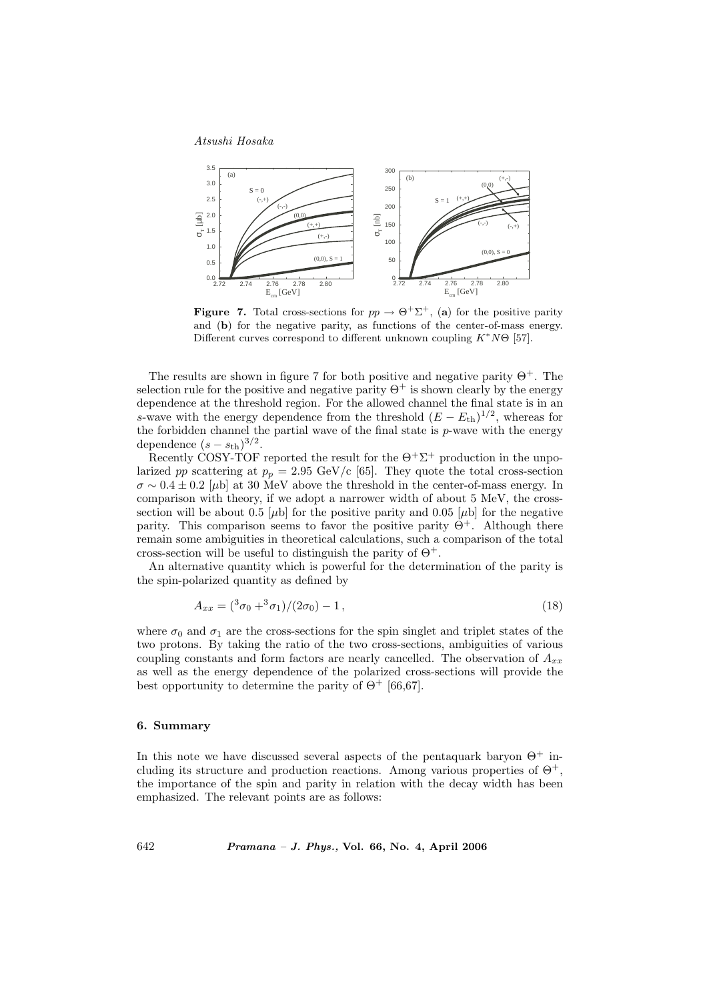

**Figure 7.** Total cross-sections for  $pp \rightarrow \Theta^+ \Sigma^+$ , (a) for the positive parity and (b) for the negative parity, as functions of the center-of-mass energy. Different curves correspond to different unknown coupling  $K^*N\Theta$  [57].

The results are shown in figure 7 for both positive and negative parity  $\Theta^+$ . The selection rule for the positive and negative parity  $\Theta^+$  is shown clearly by the energy dependence at the threshold region. For the allowed channel the final state is in an s-wave with the energy dependence from the threshold  $(E - E_{th})^{1/2}$ , whereas for the forbidden channel the partial wave of the final state is  $p$ -wave with the energy dependence  $(s - s_{\text{th}})^{3/2}$ .

Recently COSY-TOF reported the result for the  $\Theta^+ \Sigma^+$  production in the unpolarized pp scattering at  $p_p = 2.95 \text{ GeV/c}$  [65]. They quote the total cross-section  $\sigma \sim 0.4 \pm 0.2$  [µb] at 30 MeV above the threshold in the center-of-mass energy. In comparison with theory, if we adopt a narrower width of about 5 MeV, the crosssection will be about 0.5  $[\mu b]$  for the positive parity and 0.05  $[\mu b]$  for the negative parity. This comparison seems to favor the positive parity  $\Theta^+$ . Although there remain some ambiguities in theoretical calculations, such a comparison of the total cross-section will be useful to distinguish the parity of  $\Theta^+$ .

An alternative quantity which is powerful for the determination of the parity is the spin-polarized quantity as defined by

$$
A_{xx} = \frac{3\sigma_0 + 3\sigma_1}{2\sigma_0} - 1,\tag{18}
$$

where  $\sigma_0$  and  $\sigma_1$  are the cross-sections for the spin singlet and triplet states of the two protons. By taking the ratio of the two cross-sections, ambiguities of various coupling constants and form factors are nearly cancelled. The observation of  $A_{xx}$ as well as the energy dependence of the polarized cross-sections will provide the best opportunity to determine the parity of  $\Theta^+$  [66,67].

# 6. Summary

In this note we have discussed several aspects of the pentaquark baryon  $\Theta^+$  including its structure and production reactions. Among various properties of  $\Theta^+$ , the importance of the spin and parity in relation with the decay width has been emphasized. The relevant points are as follows: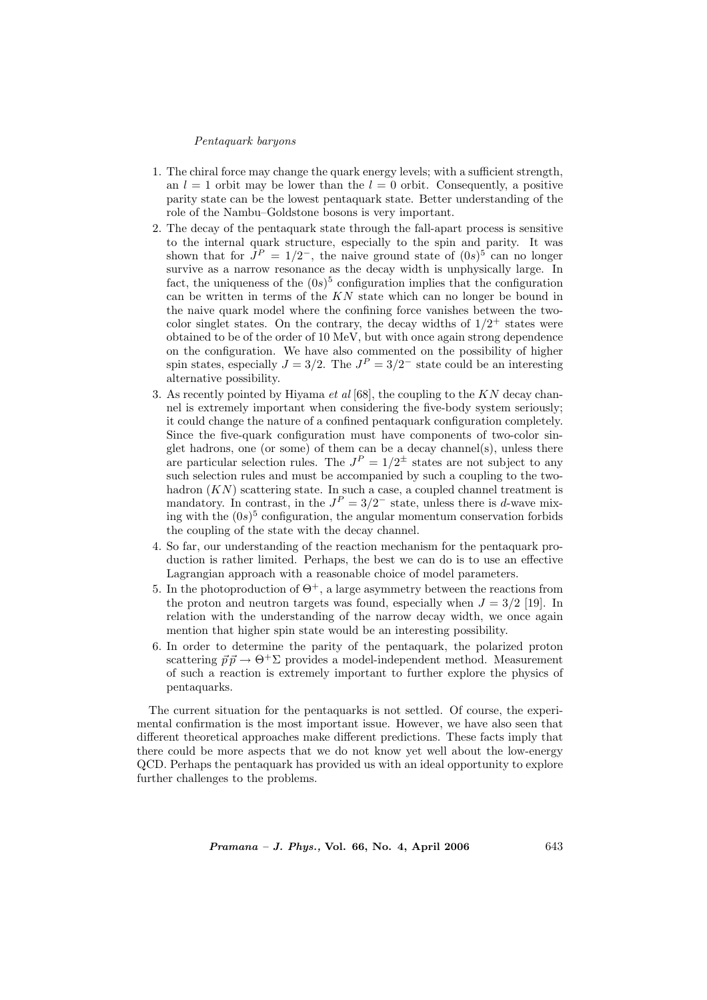- 1. The chiral force may change the quark energy levels; with a sufficient strength, an  $l = 1$  orbit may be lower than the  $l = 0$  orbit. Consequently, a positive parity state can be the lowest pentaquark state. Better understanding of the role of the Nambu–Goldstone bosons is very important.
- 2. The decay of the pentaquark state through the fall-apart process is sensitive to the internal quark structure, especially to the spin and parity. It was shown that for  $J^P = 1/2^-$ , the naive ground state of  $(0s)^5$  can no longer survive as a narrow resonance as the decay width is unphysically large. In fact, the uniqueness of the  $(0s)^5$  configuration implies that the configuration can be written in terms of the KN state which can no longer be bound in the naive quark model where the confining force vanishes between the twocolor singlet states. On the contrary, the decay widths of  $1/2^+$  states were obtained to be of the order of 10 MeV, but with once again strong dependence on the configuration. We have also commented on the possibility of higher spin states, especially  $J = 3/2$ . The  $J<sup>P</sup> = 3/2^-$  state could be an interesting alternative possibility.
- 3. As recently pointed by Hiyama et al [68], the coupling to the KN decay channel is extremely important when considering the five-body system seriously; it could change the nature of a confined pentaquark configuration completely. Since the five-quark configuration must have components of two-color singlet hadrons, one (or some) of them can be a decay channel(s), unless there are particular selection rules. The  $J^P = 1/2^{\pm}$  states are not subject to any such selection rules and must be accompanied by such a coupling to the twohadron  $(KN)$  scattering state. In such a case, a coupled channel treatment is mandatory. In contrast, in the  $J^P = 3/2^-$  state, unless there is d-wave mixing with the  $(0s)^5$  configuration, the angular momentum conservation forbids the coupling of the state with the decay channel.
- 4. So far, our understanding of the reaction mechanism for the pentaquark production is rather limited. Perhaps, the best we can do is to use an effective Lagrangian approach with a reasonable choice of model parameters.
- 5. In the photoproduction of  $\Theta^+$ , a large asymmetry between the reactions from the proton and neutron targets was found, especially when  $J = 3/2$  [19]. In relation with the understanding of the narrow decay width, we once again mention that higher spin state would be an interesting possibility.
- 6. In order to determine the parity of the pentaquark, the polarized proton scattering  $\vec{p} \vec{p} \rightarrow \Theta^+ \Sigma$  provides a model-independent method. Measurement of such a reaction is extremely important to further explore the physics of pentaquarks.

The current situation for the pentaquarks is not settled. Of course, the experimental confirmation is the most important issue. However, we have also seen that different theoretical approaches make different predictions. These facts imply that there could be more aspects that we do not know yet well about the low-energy QCD. Perhaps the pentaquark has provided us with an ideal opportunity to explore further challenges to the problems.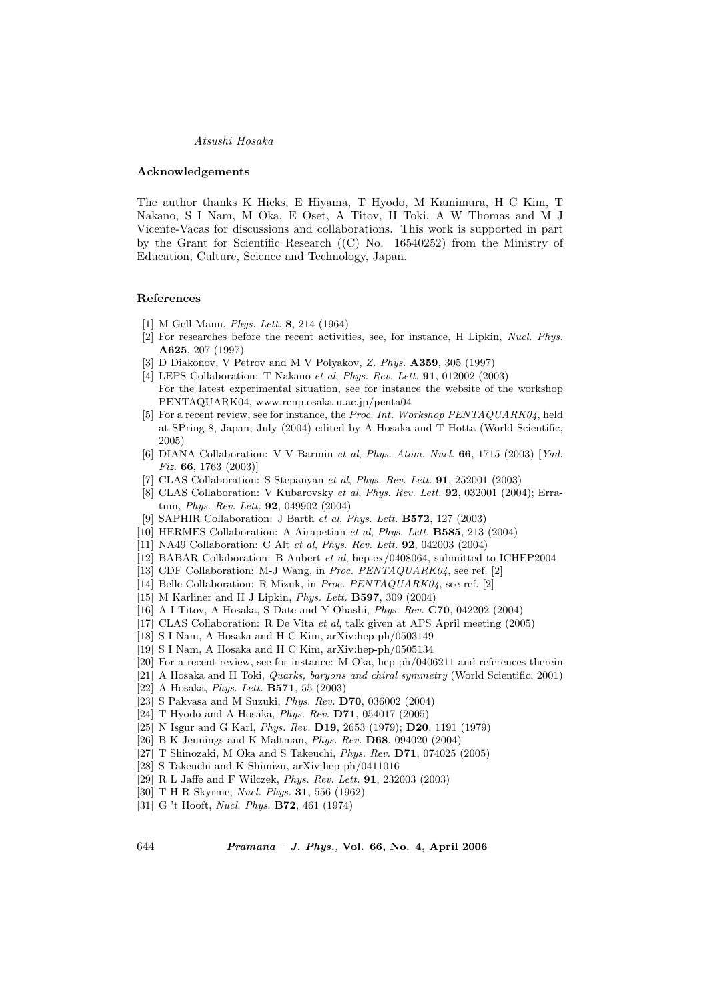#### Acknowledgements

The author thanks K Hicks, E Hiyama, T Hyodo, M Kamimura, H C Kim, T Nakano, S I Nam, M Oka, E Oset, A Titov, H Toki, A W Thomas and M J Vicente-Vacas for discussions and collaborations. This work is supported in part by the Grant for Scientific Research ((C) No. 16540252) from the Ministry of Education, Culture, Science and Technology, Japan.

#### References

- [1] M Gell-Mann, Phys. Lett. 8, 214 (1964)
- [2] For researches before the recent activities, see, for instance, H Lipkin, Nucl. Phys. A625, 207 (1997)
- [3] D Diakonov, V Petrov and M V Polyakov, Z. Phys. **A359**, 305 (1997)
- [4] LEPS Collaboration: T Nakano et al, Phys. Rev. Lett. 91, 012002 (2003) For the latest experimental situation, see for instance the website of the workshop PENTAQUARK04, www.rcnp.osaka-u.ac.jp/penta04
- [5] For a recent review, see for instance, the Proc. Int. Workshop PENTAQUARK04, held at SPring-8, Japan, July (2004) edited by A Hosaka and T Hotta (World Scientific, 2005)
- [6] DIANA Collaboration: V V Barmin et al, Phys. Atom. Nucl. 66, 1715 (2003) [Yad. Fiz. 66, 1763 (2003)]
- [7] CLAS Collaboration: S Stepanyan et al, Phys. Rev. Lett. 91, 252001 (2003)
- [8] CLAS Collaboration: V Kubarovsky et al, Phys. Rev. Lett. 92, 032001 (2004); Erratum, Phys. Rev. Lett. 92, 049902 (2004)
- [9] SAPHIR Collaboration: J Barth et al, Phys. Lett. B572, 127 (2003)
- [10] HERMES Collaboration: A Airapetian et al, Phys. Lett. B585, 213 (2004)
- [11] NA49 Collaboration: C Alt et al, Phys. Rev. Lett. 92, 042003 (2004)
- [12] BABAR Collaboration: B Aubert et al, hep-ex/0408064, submitted to ICHEP2004
- [13] CDF Collaboration: M-J Wang, in *Proc. PENTAQUARK04*, see ref. [2]
- [14] Belle Collaboration: R Mizuk, in Proc. PENTAQUARK04, see ref. [2]
- [15] M Karliner and H J Lipkin, Phys. Lett. B597, 309 (2004)
- [16] A I Titov, A Hosaka, S Date and Y Ohashi, Phys. Rev. C70, 042202 (2004)
- [17] CLAS Collaboration: R De Vita et al, talk given at APS April meeting (2005)
- [18] S I Nam, A Hosaka and H C Kim, arXiv:hep-ph/0503149
- [19] S I Nam, A Hosaka and H C Kim, arXiv:hep-ph/0505134
- [20] For a recent review, see for instance: M Oka, hep-ph/0406211 and references therein
- [21] A Hosaka and H Toki, Quarks, baryons and chiral symmetry (World Scientific, 2001)
- [22] A Hosaka, *Phys. Lett.* **B571**, 55 (2003)
- [23] S Pakvasa and M Suzuki, Phys. Rev. D70, 036002 (2004)
- [24] T Hyodo and A Hosaka, Phys. Rev. D71, 054017 (2005)
- [25] N Isgur and G Karl, *Phys. Rev.* **D19**, 2653 (1979); **D20**, 1191 (1979)
- [26] B K Jennings and K Maltman, Phys. Rev. D68, 094020 (2004)
- [27] T Shinozaki, M Oka and S Takeuchi, Phys. Rev. D71, 074025 (2005)
- [28] S Takeuchi and K Shimizu, arXiv:hep-ph/0411016
- [29] R L Jaffe and F Wilczek, Phys. Rev. Lett. 91, 232003 (2003)
- [30] T H R Skyrme, Nucl. Phys. 31, 556 (1962)
- [31] G 't Hooft, Nucl. Phys. B72, 461 (1974)